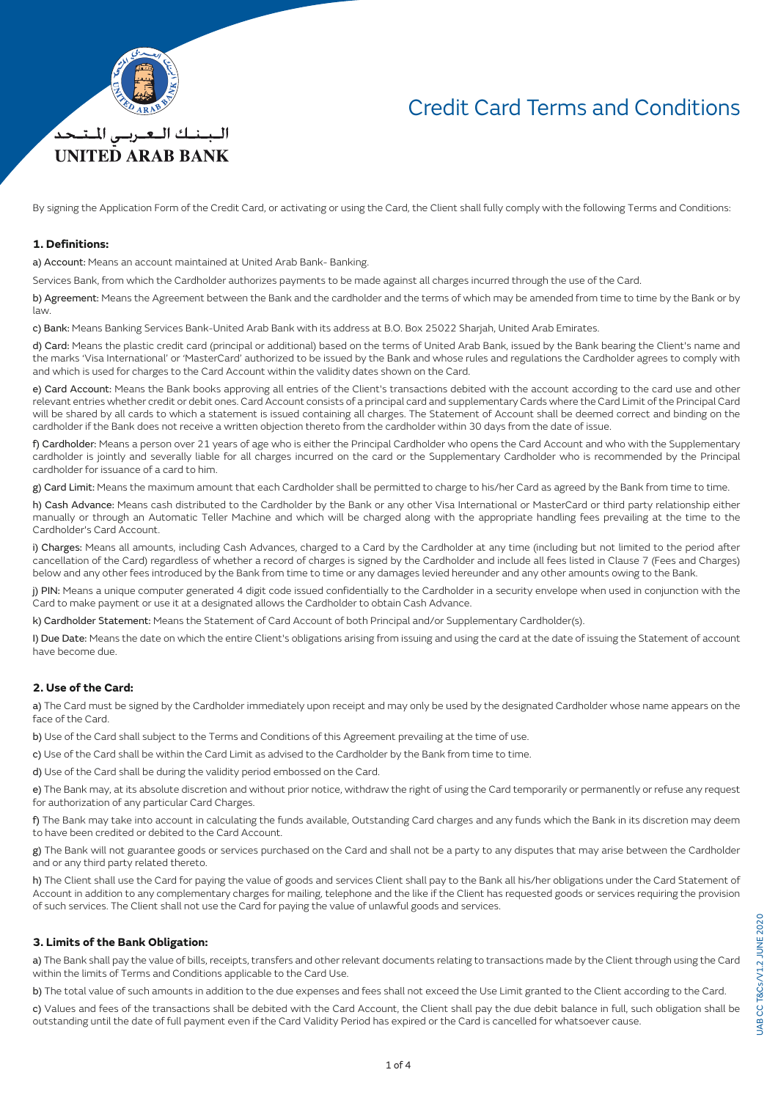

## Credit Card Terms and Conditions

By signing the Application Form of the Credit Card, or activating or using the Card, the Client shall fully comply with the following Terms and Conditions:

#### **1. Definitions:**

a) Account: Means an account maintained at United Arab Bank- Banking.

Services Bank, from which the Cardholder authorizes payments to be made against all charges incurred through the use of the Card.

b) Agreement: Means the Agreement between the Bank and the cardholder and the terms of which may be amended from time to time by the Bank or by law.

c) Bank: Means Banking Services Bank-United Arab Bank with its address at B.O. Box 25022 Sharjah, United Arab Emirates.

d) Card: Means the plastic credit card (principal or additional) based on the terms of United Arab Bank, issued by the Bank bearing the Client's name and the marks 'Visa International' or 'MasterCard' authorized to be issued by the Bank and whose rules and regulations the Cardholder agrees to comply with and which is used for charges to the Card Account within the validity dates shown on the Card.

e) Card Account: Means the Bank books approving all entries of the Client's transactions debited with the account according to the card use and other relevant entries whether credit or debit ones. Card Account consists of a principal card and supplementary Cards where the Card Limit of the Principal Card will be shared by all cards to which a statement is issued containing all charges. The Statement of Account shall be deemed correct and binding on the cardholder if the Bank does not receive a written objection thereto from the cardholder within 30 days from the date of issue.

f) Cardholder: Means a person over 21 years of age who is either the Principal Cardholder who opens the Card Account and who with the Supplementary cardholder is jointly and severally liable for all charges incurred on the card or the Supplementary Cardholder who is recommended by the Principal cardholder for issuance of a card to him.

g) Card Limit: Means the maximum amount that each Cardholder shall be permitted to charge to his/her Card as agreed by the Bank from time to time.

h) Cash Advance: Means cash distributed to the Cardholder by the Bank or any other Visa International or MasterCard or third party relationship either manually or through an Automatic Teller Machine and which will be charged along with the appropriate handling fees prevailing at the time to the Cardholder's Card Account.

i) Charges: Means all amounts, including Cash Advances, charged to a Card by the Cardholder at any time (including but not limited to the period after cancellation of the Card) regardless of whether a record of charges is signed by the Cardholder and include all fees listed in Clause 7 (Fees and Charges) below and any other fees introduced by the Bank from time to time or any damages levied hereunder and any other amounts owing to the Bank.

j) PIN: Means a unique computer generated 4 digit code issued confidentially to the Cardholder in a security envelope when used in conjunction with the Card to make payment or use it at a designated allows the Cardholder to obtain Cash Advance.

k) Cardholder Statement: Means the Statement of Card Account of both Principal and/or Supplementary Cardholder(s).

I) Due Date: Means the date on which the entire Client's obligations arising from issuing and using the card at the date of issuing the Statement of account have become due.

## **2. Use of the Card:**

a) The Card must be signed by the Cardholder immediately upon receipt and may only be used by the designated Cardholder whose name appears on the face of the Card.

b) Use of the Card shall subject to the Terms and Conditions of this Agreement prevailing at the time of use.

c) Use of the Card shall be within the Card Limit as advised to the Cardholder by the Bank from time to time.

d) Use of the Card shall be during the validity period embossed on the Card.

e) The Bank may, at its absolute discretion and without prior notice, withdraw the right of using the Card temporarily or permanently or refuse any request for authorization of any particular Card Charges.

f) The Bank may take into account in calculating the funds available, Outstanding Card charges and any funds which the Bank in its discretion may deem to have been credited or debited to the Card Account.

g) The Bank will not guarantee goods or services purchased on the Card and shall not be a party to any disputes that may arise between the Cardholder and or any third party related thereto.

h) The Client shall use the Card for paying the value of goods and services Client shall pay to the Bank all his/her obligations under the Card Statement of Account in addition to any complementary charges for mailing, telephone and the like if the Client has requested goods or services requiring the provision of such services. The Client shall not use the Card for paying the value of unlawful goods and services.

### **3. Limits of the Bank Obligation:**

a) The Bank shall pay the value of bills, receipts, transfers and other relevant documents relating to transactions made by the Client through using the Card within the limits of Terms and Conditions applicable to the Card Use.

b) The total value of such amounts in addition to the due expenses and fees shall not exceed the Use Limit granted to the Client according to the Card.

c) Values and fees of the transactions shall be debited with the Card Account, the Client shall pay the due debit balance in full, such obligation shall be outstanding until the date of full payment even if the Card Validity Period has expired or the Card is cancelled for whatsoever cause.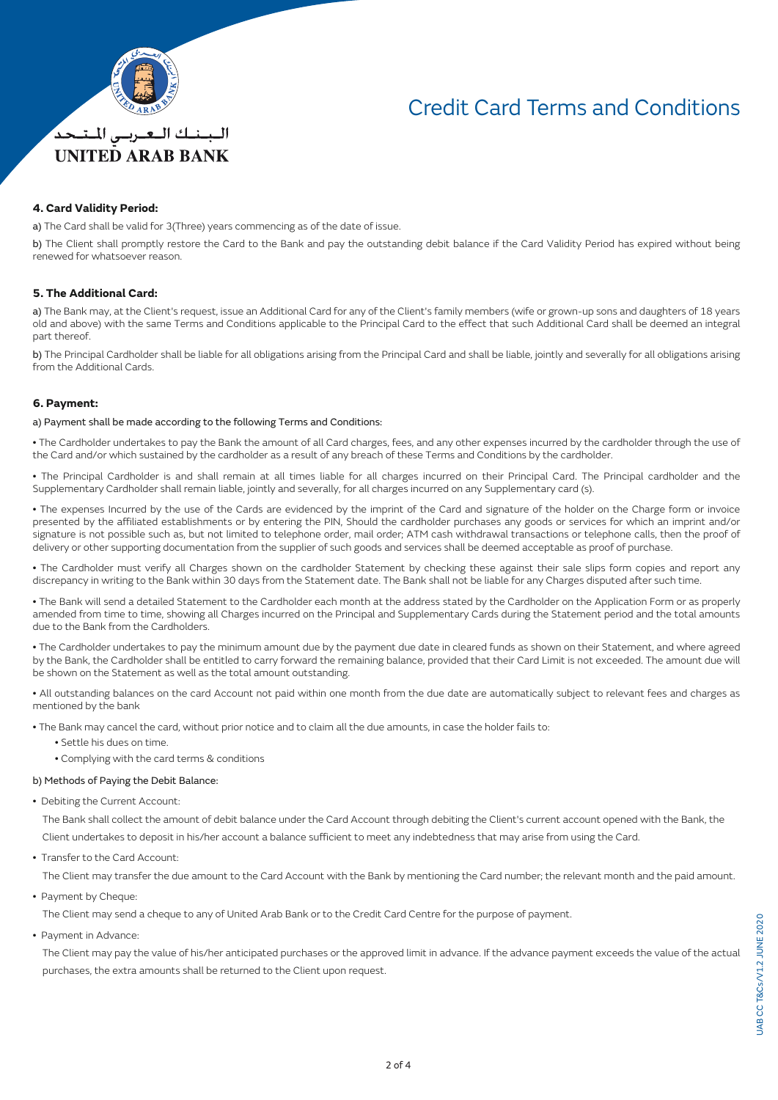

# Credit Card Terms and Conditions

### **4. Card Validity Period:**

a) The Card shall be valid for 3(Three) years commencing as of the date of issue.

b) The Client shall promptly restore the Card to the Bank and pay the outstanding debit balance if the Card Validity Period has expired without being renewed for whatsoever reason.

## **5. The Additional Card:**

a) The Bank may, at the Client's request, issue an Additional Card for any of the Client's family members (wife or grown-up sons and daughters of 18 years old and above) with the same Terms and Conditions applicable to the Principal Card to the effect that such Additional Card shall be deemed an integral part thereof.

b) The Principal Cardholder shall be liable for all obligations arising from the Principal Card and shall be liable, jointly and severally for all obligations arising from the Additional Cards.

### **6. Payment:**

#### a) Payment shall be made according to the following Terms and Conditions:

• The Cardholder undertakes to pay the Bank the amount of all Card charges, fees, and any other expenses incurred by the cardholder through the use of the Card and/or which sustained by the cardholder as a result of any breach of these Terms and Conditions by the cardholder.

• The Principal Cardholder is and shall remain at all times liable for all charges incurred on their Principal Card. The Principal cardholder and the Supplementary Cardholder shall remain liable, jointly and severally, for all charges incurred on any Supplementary card (s).

• The expenses Incurred by the use of the Cards are evidenced by the imprint of the Card and signature of the holder on the Charge form or invoice presented by the affiliated establishments or by entering the PIN, Should the cardholder purchases any goods or services for which an imprint and/or signature is not possible such as, but not limited to telephone order, mail order; ATM cash withdrawal transactions or telephone calls, then the proof of delivery or other supporting documentation from the supplier of such goods and services shall be deemed acceptable as proof of purchase.

• The Cardholder must verify all Charges shown on the cardholder Statement by checking these against their sale slips form copies and report any discrepancy in writing to the Bank within 30 days from the Statement date. The Bank shall not be liable for any Charges disputed after such time.

• The Bank will send a detailed Statement to the Cardholder each month at the address stated by the Cardholder on the Application Form or as properly amended from time to time, showing all Charges incurred on the Principal and Supplementary Cards during the Statement period and the total amounts due to the Bank from the Cardholders.

• The Cardholder undertakes to pay the minimum amount due by the payment due date in cleared funds as shown on their Statement, and where agreed by the Bank, the Cardholder shall be entitled to carry forward the remaining balance, provided that their Card Limit is not exceeded. The amount due will be shown on the Statement as well as the total amount outstanding.

• All outstanding balances on the card Account not paid within one month from the due date are automatically subject to relevant fees and charges as mentioned by the bank

• The Bank may cancel the card, without prior notice and to claim all the due amounts, in case the holder fails to:

- Settle his dues on time.
- Complying with the card terms & conditions

#### b) Methods of Paying the Debit Balance:

• Debiting the Current Account:

 The Bank shall collect the amount of debit balance under the Card Account through debiting the Client's current account opened with the Bank, the Client undertakes to deposit in his/her account a balance sufficient to meet any indebtedness that may arise from using the Card.

• Transfer to the Card Account:

The Client may transfer the due amount to the Card Account with the Bank by mentioning the Card number; the relevant month and the paid amount.

• Payment by Cheque:

The Client may send a cheque to any of United Arab Bank or to the Credit Card Centre for the purpose of payment.

• Payment in Advance:

 The Client may pay the value of his/her anticipated purchases or the approved limit in advance. If the advance payment exceeds the value of the actual purchases, the extra amounts shall be returned to the Client upon request.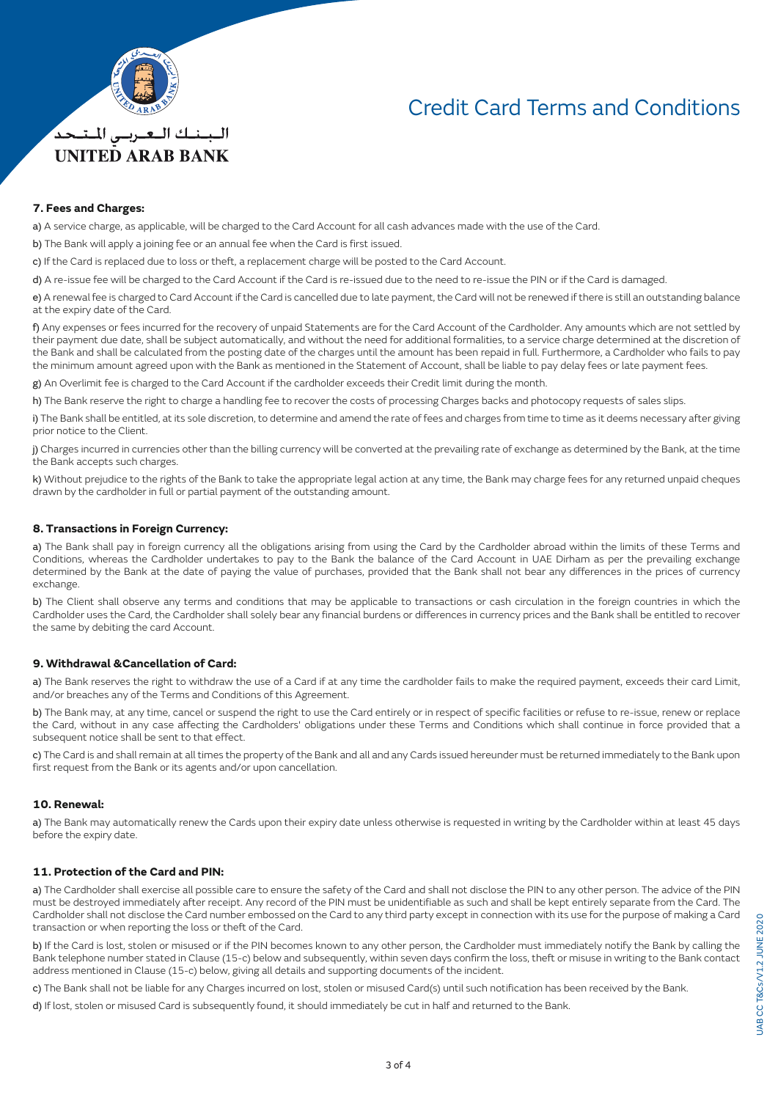

*UNITED ARAB BANK* 

# Credit Card Terms and Conditions

### **7. Fees and Charges:**

a) A service charge, as applicable, will be charged to the Card Account for all cash advances made with the use of the Card.

b) The Bank will apply a joining fee or an annual fee when the Card is first issued.

c) If the Card is replaced due to loss or theft, a replacement charge will be posted to the Card Account.

d) A re-issue fee will be charged to the Card Account if the Card is re-issued due to the need to re-issue the PIN or if the Card is damaged.

e) A renewal fee is charged to Card Account if the Card is cancelled due to late payment, the Card will not be renewed if there is still an outstanding balance at the expiry date of the Card.

f) Any expenses or fees incurred for the recovery of unpaid Statements are for the Card Account of the Cardholder. Any amounts which are not settled by their payment due date, shall be subject automatically, and without the need for additional formalities, to a service charge determined at the discretion of the Bank and shall be calculated from the posting date of the charges until the amount has been repaid in full. Furthermore, a Cardholder who fails to pay the minimum amount agreed upon with the Bank as mentioned in the Statement of Account, shall be liable to pay delay fees or late payment fees.

g) An Overlimit fee is charged to the Card Account if the cardholder exceeds their Credit limit during the month.

h) The Bank reserve the right to charge a handling fee to recover the costs of processing Charges backs and photocopy requests of sales slips.

i) The Bank shall be entitled, at its sole discretion, to determine and amend the rate of fees and charges from time to time as it deems necessary after giving prior notice to the Client.

j) Charges incurred in currencies other than the billing currency will be converted at the prevailing rate of exchange as determined by the Bank, at the time the Bank accepts such charges.

k) Without prejudice to the rights of the Bank to take the appropriate legal action at any time, the Bank may charge fees for any returned unpaid cheques drawn by the cardholder in full or partial payment of the outstanding amount.

### **8. Transactions in Foreign Currency:**

a) The Bank shall pay in foreign currency all the obligations arising from using the Card by the Cardholder abroad within the limits of these Terms and Conditions, whereas the Cardholder undertakes to pay to the Bank the balance of the Card Account in UAE Dirham as per the prevailing exchange determined by the Bank at the date of paying the value of purchases, provided that the Bank shall not bear any differences in the prices of currency exchange.

b) The Client shall observe any terms and conditions that may be applicable to transactions or cash circulation in the foreign countries in which the Cardholder uses the Card, the Cardholder shall solely bear any financial burdens or differences in currency prices and the Bank shall be entitled to recover the same by debiting the card Account.

### **9. Withdrawal &Cancellation of Card:**

a) The Bank reserves the right to withdraw the use of a Card if at any time the cardholder fails to make the required payment, exceeds their card Limit, and/or breaches any of the Terms and Conditions of this Agreement.

b) The Bank may, at any time, cancel or suspend the right to use the Card entirely or in respect of specific facilities or refuse to re-issue, renew or replace the Card, without in any case affecting the Cardholders' obligations under these Terms and Conditions which shall continue in force provided that a subsequent notice shall be sent to that effect.

c) The Card is and shall remain at all times the property of the Bank and all and any Cards issued hereunder must be returned immediately to the Bank upon first request from the Bank or its agents and/or upon cancellation.

#### **10. Renewal:**

a) The Bank may automatically renew the Cards upon their expiry date unless otherwise is requested in writing by the Cardholder within at least 45 days before the expiry date.

### **11. Protection of the Card and PIN:**

a) The Cardholder shall exercise all possible care to ensure the safety of the Card and shall not disclose the PIN to any other person. The advice of the PIN must be destroyed immediately after receipt. Any record of the PIN must be unidentifiable as such and shall be kept entirely separate from the Card. The Cardholder shall not disclose the Card number embossed on the Card to any third party except in connection with its use for the purpose of making a Card transaction or when reporting the loss or theft of the Card.

b) If the Card is lost, stolen or misused or if the PIN becomes known to any other person, the Cardholder must immediately notify the Bank by calling the Bank telephone number stated in Clause (15-c) below and subsequently, within seven days confirm the loss, theft or misuse in writing to the Bank contact address mentioned in Clause (15-c) below, giving all details and supporting documents of the incident.

c) The Bank shall not be liable for any Charges incurred on lost, stolen or misused Card(s) until such notification has been received by the Bank.

d) If lost, stolen or misused Card is subsequently found, it should immediately be cut in half and returned to the Bank.